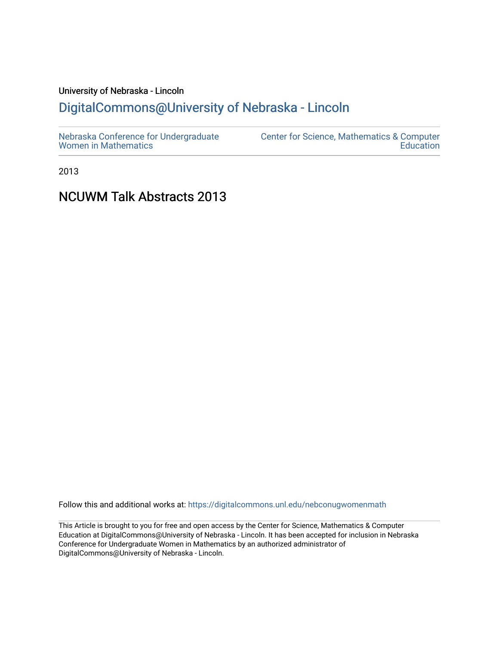# University of Nebraska - Lincoln [DigitalCommons@University of Nebraska - Lincoln](https://digitalcommons.unl.edu/)

2013

# NCUWM Talk Abstracts 2013

Follow this and additional works at: [https://digitalcommons.unl.edu/nebconugwomenmath](https://digitalcommons.unl.edu/nebconugwomenmath?utm_source=digitalcommons.unl.edu%2Fnebconugwomenmath%2F18&utm_medium=PDF&utm_campaign=PDFCoverPages)

This Article is brought to you for free and open access by the Center for Science, Mathematics & Computer Education at DigitalCommons@University of Nebraska - Lincoln. It has been accepted for inclusion in Nebraska Conference for Undergraduate Women in Mathematics by an authorized administrator of DigitalCommons@University of Nebraska - Lincoln.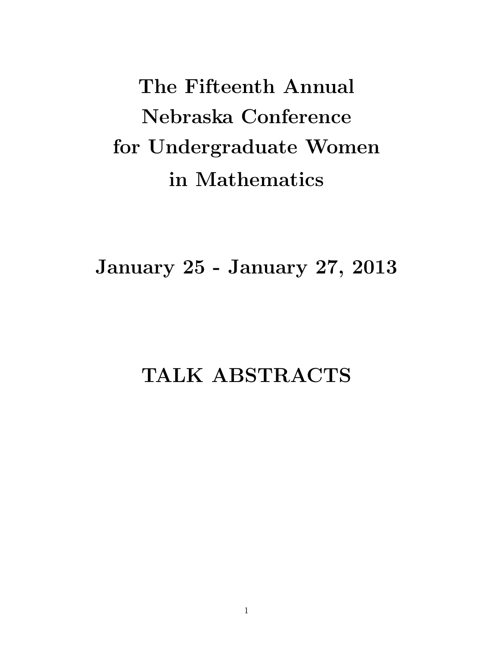The Fifteenth Annual Nebraska Conference for Undergraduate Women in Mathematics

January 25 - January 27, 2013

# TALK ABSTRACTS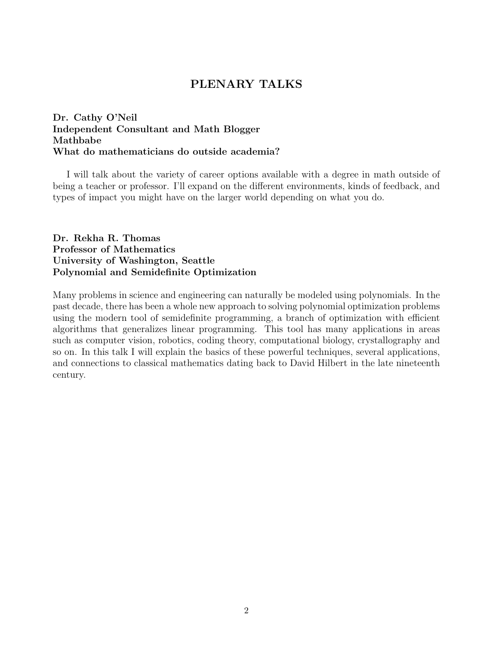# PLENARY TALKS

# Dr. Cathy O'Neil Independent Consultant and Math Blogger Mathbabe What do mathematicians do outside academia?

I will talk about the variety of career options available with a degree in math outside of being a teacher or professor. I'll expand on the different environments, kinds of feedback, and types of impact you might have on the larger world depending on what you do.

# Dr. Rekha R. Thomas Professor of Mathematics University of Washington, Seattle Polynomial and Semidefinite Optimization

Many problems in science and engineering can naturally be modeled using polynomials. In the past decade, there has been a whole new approach to solving polynomial optimization problems using the modern tool of semidefinite programming, a branch of optimization with efficient algorithms that generalizes linear programming. This tool has many applications in areas such as computer vision, robotics, coding theory, computational biology, crystallography and so on. In this talk I will explain the basics of these powerful techniques, several applications, and connections to classical mathematics dating back to David Hilbert in the late nineteenth century.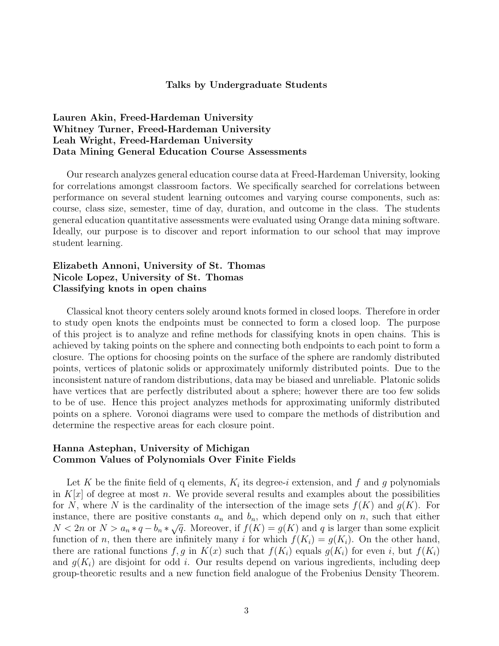#### Talks by Undergraduate Students

# Lauren Akin, Freed-Hardeman University Whitney Turner, Freed-Hardeman University Leah Wright, Freed-Hardeman University Data Mining General Education Course Assessments

Our research analyzes general education course data at Freed-Hardeman University, looking for correlations amongst classroom factors. We specifically searched for correlations between performance on several student learning outcomes and varying course components, such as: course, class size, semester, time of day, duration, and outcome in the class. The students general education quantitative assessments were evaluated using Orange data mining software. Ideally, our purpose is to discover and report information to our school that may improve student learning.

## Elizabeth Annoni, University of St. Thomas Nicole Lopez, University of St. Thomas Classifying knots in open chains

Classical knot theory centers solely around knots formed in closed loops. Therefore in order to study open knots the endpoints must be connected to form a closed loop. The purpose of this project is to analyze and refine methods for classifying knots in open chains. This is achieved by taking points on the sphere and connecting both endpoints to each point to form a closure. The options for choosing points on the surface of the sphere are randomly distributed points, vertices of platonic solids or approximately uniformly distributed points. Due to the inconsistent nature of random distributions, data may be biased and unreliable. Platonic solids have vertices that are perfectly distributed about a sphere; however there are too few solids to be of use. Hence this project analyzes methods for approximating uniformly distributed points on a sphere. Voronoi diagrams were used to compare the methods of distribution and determine the respective areas for each closure point.

# Hanna Astephan, University of Michigan Common Values of Polynomials Over Finite Fields

Let K be the finite field of q elements,  $K_i$  its degree-i extension, and f and g polynomials in  $K[x]$  of degree at most n. We provide several results and examples about the possibilities for N, where N is the cardinality of the intersection of the image sets  $f(K)$  and  $g(K)$ . For instance, there are positive constants  $a_n$  and  $b_n$ , which depend only on n, such that either  $N < 2n$  or  $N > a_n * q - b_n * \sqrt{q}$ . Moreover, if  $f(K) = g(K)$  and q is larger than some explicit function of n, then there are infinitely many i for which  $f(K_i) = g(K_i)$ . On the other hand, there are rational functions  $f, g$  in  $K(x)$  such that  $f(K_i)$  equals  $g(K_i)$  for even i, but  $f(K_i)$ and  $g(K_i)$  are disjoint for odd i. Our results depend on various ingredients, including deep group-theoretic results and a new function field analogue of the Frobenius Density Theorem.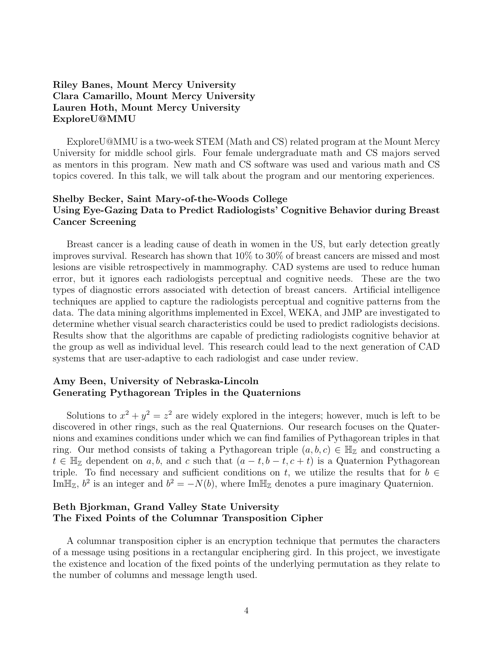# Riley Banes, Mount Mercy University Clara Camarillo, Mount Mercy University Lauren Hoth, Mount Mercy University ExploreU@MMU

ExploreU@MMU is a two-week STEM (Math and CS) related program at the Mount Mercy University for middle school girls. Four female undergraduate math and CS majors served as mentors in this program. New math and CS software was used and various math and CS topics covered. In this talk, we will talk about the program and our mentoring experiences.

# Shelby Becker, Saint Mary-of-the-Woods College Using Eye-Gazing Data to Predict Radiologists' Cognitive Behavior during Breast Cancer Screening

Breast cancer is a leading cause of death in women in the US, but early detection greatly improves survival. Research has shown that 10% to 30% of breast cancers are missed and most lesions are visible retrospectively in mammography. CAD systems are used to reduce human error, but it ignores each radiologists perceptual and cognitive needs. These are the two types of diagnostic errors associated with detection of breast cancers. Artificial intelligence techniques are applied to capture the radiologists perceptual and cognitive patterns from the data. The data mining algorithms implemented in Excel, WEKA, and JMP are investigated to determine whether visual search characteristics could be used to predict radiologists decisions. Results show that the algorithms are capable of predicting radiologists cognitive behavior at the group as well as individual level. This research could lead to the next generation of CAD systems that are user-adaptive to each radiologist and case under review.

#### Amy Been, University of Nebraska-Lincoln Generating Pythagorean Triples in the Quaternions

Solutions to  $x^2 + y^2 = z^2$  are widely explored in the integers; however, much is left to be discovered in other rings, such as the real Quaternions. Our research focuses on the Quaternions and examines conditions under which we can find families of Pythagorean triples in that ring. Our method consists of taking a Pythagorean triple  $(a, b, c) \in \mathbb{H}_{\mathbb{Z}}$  and constructing a  $t \in \mathbb{H}_{\mathbb{Z}}$  dependent on a, b, and c such that  $(a-t, b-t, c+t)$  is a Quaternion Pythagorean triple. To find necessary and sufficient conditions on t, we utilize the results that for  $b \in$ Im $\mathbb{H}_{\mathbb{Z}}$ ,  $b^2$  is an integer and  $b^2 = -N(b)$ , where Im $\mathbb{H}_{\mathbb{Z}}$  denotes a pure imaginary Quaternion.

# Beth Bjorkman, Grand Valley State University The Fixed Points of the Columnar Transposition Cipher

A columnar transposition cipher is an encryption technique that permutes the characters of a message using positions in a rectangular enciphering gird. In this project, we investigate the existence and location of the fixed points of the underlying permutation as they relate to the number of columns and message length used.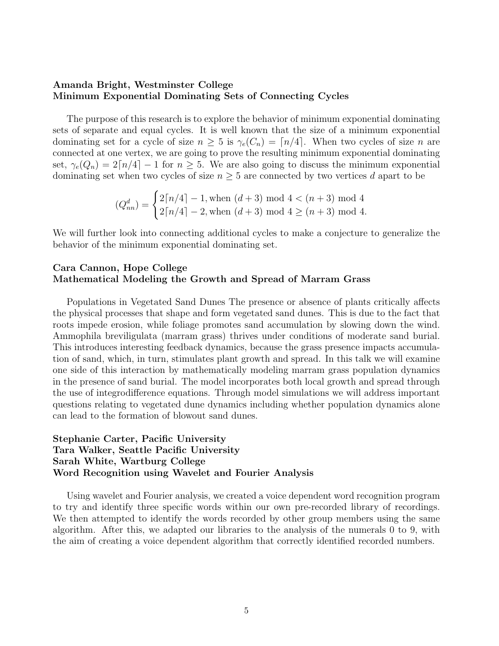#### Amanda Bright, Westminster College Minimum Exponential Dominating Sets of Connecting Cycles

The purpose of this research is to explore the behavior of minimum exponential dominating sets of separate and equal cycles. It is well known that the size of a minimum exponential dominating set for a cycle of size  $n \geq 5$  is  $\gamma_e(C_n) = \lceil n/4 \rceil$ . When two cycles of size n are connected at one vertex, we are going to prove the resulting minimum exponential dominating set,  $\gamma_e(Q_n) = 2\lceil n/4 \rceil - 1$  for  $n \geq 5$ . We are also going to discuss the minimum exponential dominating set when two cycles of size  $n \geq 5$  are connected by two vertices d apart to be

$$
(Q_{nn}^d) = \begin{cases} 2\lceil n/4 \rceil - 1, \text{when } (d+3) \text{ mod } 4 < (n+3) \text{ mod } 4 \\ 2\lceil n/4 \rceil - 2, \text{when } (d+3) \text{ mod } 4 \ge (n+3) \text{ mod } 4. \end{cases}
$$

We will further look into connecting additional cycles to make a conjecture to generalize the behavior of the minimum exponential dominating set.

#### Cara Cannon, Hope College Mathematical Modeling the Growth and Spread of Marram Grass

Populations in Vegetated Sand Dunes The presence or absence of plants critically affects the physical processes that shape and form vegetated sand dunes. This is due to the fact that roots impede erosion, while foliage promotes sand accumulation by slowing down the wind. Ammophila breviligulata (marram grass) thrives under conditions of moderate sand burial. This introduces interesting feedback dynamics, because the grass presence impacts accumulation of sand, which, in turn, stimulates plant growth and spread. In this talk we will examine one side of this interaction by mathematically modeling marram grass population dynamics in the presence of sand burial. The model incorporates both local growth and spread through the use of integrodifference equations. Through model simulations we will address important questions relating to vegetated dune dynamics including whether population dynamics alone can lead to the formation of blowout sand dunes.

# Stephanie Carter, Pacific University Tara Walker, Seattle Pacific University Sarah White, Wartburg College Word Recognition using Wavelet and Fourier Analysis

Using wavelet and Fourier analysis, we created a voice dependent word recognition program to try and identify three specific words within our own pre-recorded library of recordings. We then attempted to identify the words recorded by other group members using the same algorithm. After this, we adapted our libraries to the analysis of the numerals 0 to 9, with the aim of creating a voice dependent algorithm that correctly identified recorded numbers.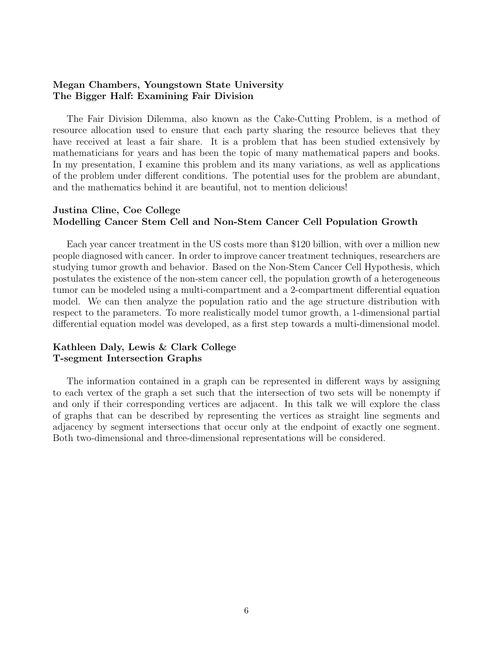#### Megan Chambers, Youngstown State University The Bigger Half: Examining Fair Division

The Fair Division Dilemma, also known as the Cake-Cutting Problem, is a method of resource allocation used to ensure that each party sharing the resource believes that they have received at least a fair share. It is a problem that has been studied extensively by mathematicians for years and has been the topic of many mathematical papers and books. In my presentation, I examine this problem and its many variations, as well as applications of the problem under different conditions. The potential uses for the problem are abundant, and the mathematics behind it are beautiful, not to mention delicious!

#### Justina Cline, Coe College Modelling Cancer Stem Cell and Non-Stem Cancer Cell Population Growth

Each year cancer treatment in the US costs more than \$120 billion, with over a million new people diagnosed with cancer. In order to improve cancer treatment techniques, researchers are studying tumor growth and behavior. Based on the Non-Stem Cancer Cell Hypothesis, which postulates the existence of the non-stem cancer cell, the population growth of a heterogeneous tumor can be modeled using a multi-compartment and a 2-compartment differential equation model. We can then analyze the population ratio and the age structure distribution with respect to the parameters. To more realistically model tumor growth, a 1-dimensional partial differential equation model was developed, as a first step towards a multi-dimensional model.

#### Kathleen Daly, Lewis & Clark College T-segment Intersection Graphs

The information contained in a graph can be represented in different ways by assigning to each vertex of the graph a set such that the intersection of two sets will be nonempty if and only if their corresponding vertices are adjacent. In this talk we will explore the class of graphs that can be described by representing the vertices as straight line segments and adjacency by segment intersections that occur only at the endpoint of exactly one segment. Both two-dimensional and three-dimensional representations will be considered.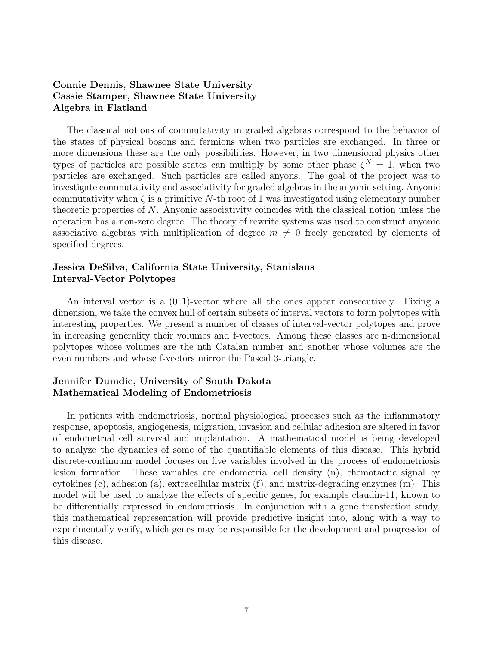# Connie Dennis, Shawnee State University Cassie Stamper, Shawnee State University Algebra in Flatland

The classical notions of commutativity in graded algebras correspond to the behavior of the states of physical bosons and fermions when two particles are exchanged. In three or more dimensions these are the only possibilities. However, in two dimensional physics other types of particles are possible states can multiply by some other phase  $\zeta^{N} = 1$ , when two particles are exchanged. Such particles are called anyons. The goal of the project was to investigate commutativity and associativity for graded algebras in the anyonic setting. Anyonic commutativity when  $\zeta$  is a primitive N-th root of 1 was investigated using elementary number theoretic properties of N. Anyonic associativity coincides with the classical notion unless the operation has a non-zero degree. The theory of rewrite systems was used to construct anyonic associative algebras with multiplication of degree  $m \neq 0$  freely generated by elements of specified degrees.

#### Jessica DeSilva, California State University, Stanislaus Interval-Vector Polytopes

An interval vector is a  $(0, 1)$ -vector where all the ones appear consecutively. Fixing a dimension, we take the convex hull of certain subsets of interval vectors to form polytopes with interesting properties. We present a number of classes of interval-vector polytopes and prove in increasing generality their volumes and f-vectors. Among these classes are n-dimensional polytopes whose volumes are the nth Catalan number and another whose volumes are the even numbers and whose f-vectors mirror the Pascal 3-triangle.

# Jennifer Dumdie, University of South Dakota Mathematical Modeling of Endometriosis

In patients with endometriosis, normal physiological processes such as the inflammatory response, apoptosis, angiogenesis, migration, invasion and cellular adhesion are altered in favor of endometrial cell survival and implantation. A mathematical model is being developed to analyze the dynamics of some of the quantifiable elements of this disease. This hybrid discrete-continuum model focuses on five variables involved in the process of endometriosis lesion formation. These variables are endometrial cell density (n), chemotactic signal by cytokines (c), adhesion (a), extracellular matrix (f), and matrix-degrading enzymes (m). This model will be used to analyze the effects of specific genes, for example claudin-11, known to be differentially expressed in endometriosis. In conjunction with a gene transfection study, this mathematical representation will provide predictive insight into, along with a way to experimentally verify, which genes may be responsible for the development and progression of this disease.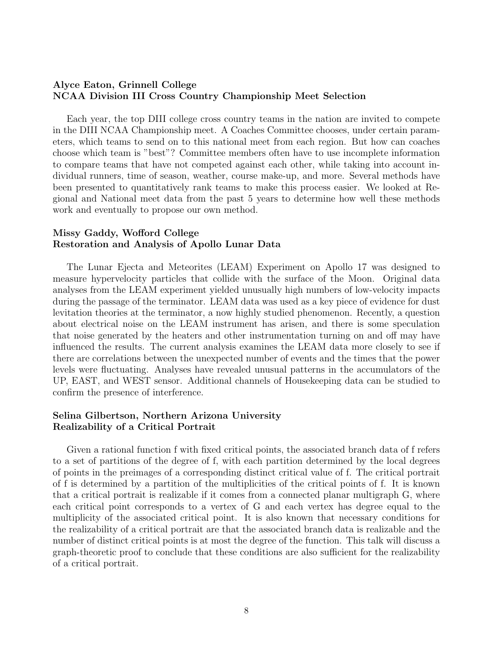#### Alyce Eaton, Grinnell College NCAA Division III Cross Country Championship Meet Selection

Each year, the top DIII college cross country teams in the nation are invited to compete in the DIII NCAA Championship meet. A Coaches Committee chooses, under certain parameters, which teams to send on to this national meet from each region. But how can coaches choose which team is "best"? Committee members often have to use incomplete information to compare teams that have not competed against each other, while taking into account individual runners, time of season, weather, course make-up, and more. Several methods have been presented to quantitatively rank teams to make this process easier. We looked at Regional and National meet data from the past 5 years to determine how well these methods work and eventually to propose our own method.

#### Missy Gaddy, Wofford College Restoration and Analysis of Apollo Lunar Data

The Lunar Ejecta and Meteorites (LEAM) Experiment on Apollo 17 was designed to measure hypervelocity particles that collide with the surface of the Moon. Original data analyses from the LEAM experiment yielded unusually high numbers of low-velocity impacts during the passage of the terminator. LEAM data was used as a key piece of evidence for dust levitation theories at the terminator, a now highly studied phenomenon. Recently, a question about electrical noise on the LEAM instrument has arisen, and there is some speculation that noise generated by the heaters and other instrumentation turning on and off may have influenced the results. The current analysis examines the LEAM data more closely to see if there are correlations between the unexpected number of events and the times that the power levels were fluctuating. Analyses have revealed unusual patterns in the accumulators of the UP, EAST, and WEST sensor. Additional channels of Housekeeping data can be studied to confirm the presence of interference.

# Selina Gilbertson, Northern Arizona University Realizability of a Critical Portrait

Given a rational function f with fixed critical points, the associated branch data of f refers to a set of partitions of the degree of f, with each partition determined by the local degrees of points in the preimages of a corresponding distinct critical value of f. The critical portrait of f is determined by a partition of the multiplicities of the critical points of f. It is known that a critical portrait is realizable if it comes from a connected planar multigraph G, where each critical point corresponds to a vertex of G and each vertex has degree equal to the multiplicity of the associated critical point. It is also known that necessary conditions for the realizability of a critical portrait are that the associated branch data is realizable and the number of distinct critical points is at most the degree of the function. This talk will discuss a graph-theoretic proof to conclude that these conditions are also sufficient for the realizability of a critical portrait.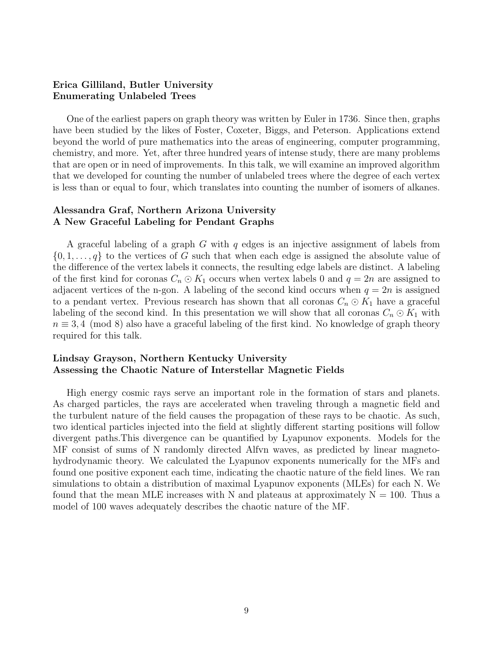#### Erica Gilliland, Butler University Enumerating Unlabeled Trees

One of the earliest papers on graph theory was written by Euler in 1736. Since then, graphs have been studied by the likes of Foster, Coxeter, Biggs, and Peterson. Applications extend beyond the world of pure mathematics into the areas of engineering, computer programming, chemistry, and more. Yet, after three hundred years of intense study, there are many problems that are open or in need of improvements. In this talk, we will examine an improved algorithm that we developed for counting the number of unlabeled trees where the degree of each vertex is less than or equal to four, which translates into counting the number of isomers of alkanes.

#### Alessandra Graf, Northern Arizona University A New Graceful Labeling for Pendant Graphs

A graceful labeling of a graph G with q edges is an injective assignment of labels from  $\{0, 1, \ldots, q\}$  to the vertices of G such that when each edge is assigned the absolute value of the difference of the vertex labels it connects, the resulting edge labels are distinct. A labeling of the first kind for coronas  $C_n \odot K_1$  occurs when vertex labels 0 and  $q=2n$  are assigned to adjacent vertices of the n-gon. A labeling of the second kind occurs when  $q = 2n$  is assigned to a pendant vertex. Previous research has shown that all coronas  $C_n \odot K_1$  have a graceful labeling of the second kind. In this presentation we will show that all coronas  $C_n \odot K_1$  with  $n \equiv 3, 4 \pmod{8}$  also have a graceful labeling of the first kind. No knowledge of graph theory required for this talk.

## Lindsay Grayson, Northern Kentucky University Assessing the Chaotic Nature of Interstellar Magnetic Fields

High energy cosmic rays serve an important role in the formation of stars and planets. As charged particles, the rays are accelerated when traveling through a magnetic field and the turbulent nature of the field causes the propagation of these rays to be chaotic. As such, two identical particles injected into the field at slightly different starting positions will follow divergent paths.This divergence can be quantified by Lyapunov exponents. Models for the MF consist of sums of N randomly directed Alfvn waves, as predicted by linear magnetohydrodynamic theory. We calculated the Lyapunov exponents numerically for the MFs and found one positive exponent each time, indicating the chaotic nature of the field lines. We ran simulations to obtain a distribution of maximal Lyapunov exponents (MLEs) for each N. We found that the mean MLE increases with N and plateaus at approximately  $N = 100$ . Thus a model of 100 waves adequately describes the chaotic nature of the MF.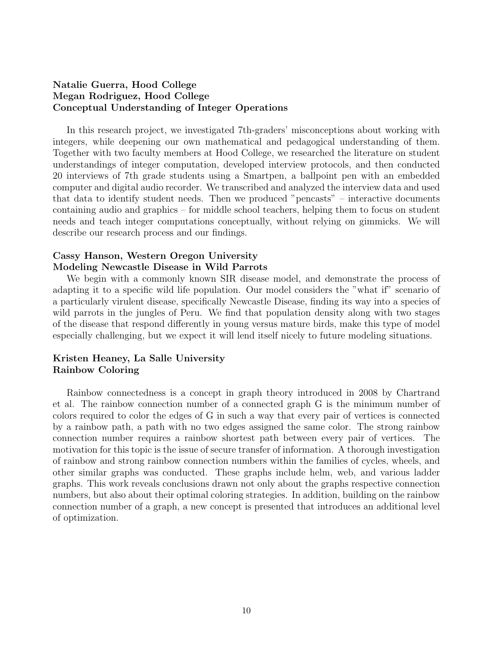# Natalie Guerra, Hood College Megan Rodriguez, Hood College Conceptual Understanding of Integer Operations

In this research project, we investigated 7th-graders' misconceptions about working with integers, while deepening our own mathematical and pedagogical understanding of them. Together with two faculty members at Hood College, we researched the literature on student understandings of integer computation, developed interview protocols, and then conducted 20 interviews of 7th grade students using a Smartpen, a ballpoint pen with an embedded computer and digital audio recorder. We transcribed and analyzed the interview data and used that data to identify student needs. Then we produced "pencasts" – interactive documents containing audio and graphics – for middle school teachers, helping them to focus on student needs and teach integer computations conceptually, without relying on gimmicks. We will describe our research process and our findings.

#### Cassy Hanson, Western Oregon University Modeling Newcastle Disease in Wild Parrots

We begin with a commonly known SIR disease model, and demonstrate the process of adapting it to a specific wild life population. Our model considers the "what if" scenario of a particularly virulent disease, specifically Newcastle Disease, finding its way into a species of wild parrots in the jungles of Peru. We find that population density along with two stages of the disease that respond differently in young versus mature birds, make this type of model especially challenging, but we expect it will lend itself nicely to future modeling situations.

# Kristen Heaney, La Salle University Rainbow Coloring

Rainbow connectedness is a concept in graph theory introduced in 2008 by Chartrand et al. The rainbow connection number of a connected graph G is the minimum number of colors required to color the edges of G in such a way that every pair of vertices is connected by a rainbow path, a path with no two edges assigned the same color. The strong rainbow connection number requires a rainbow shortest path between every pair of vertices. The motivation for this topic is the issue of secure transfer of information. A thorough investigation of rainbow and strong rainbow connection numbers within the families of cycles, wheels, and other similar graphs was conducted. These graphs include helm, web, and various ladder graphs. This work reveals conclusions drawn not only about the graphs respective connection numbers, but also about their optimal coloring strategies. In addition, building on the rainbow connection number of a graph, a new concept is presented that introduces an additional level of optimization.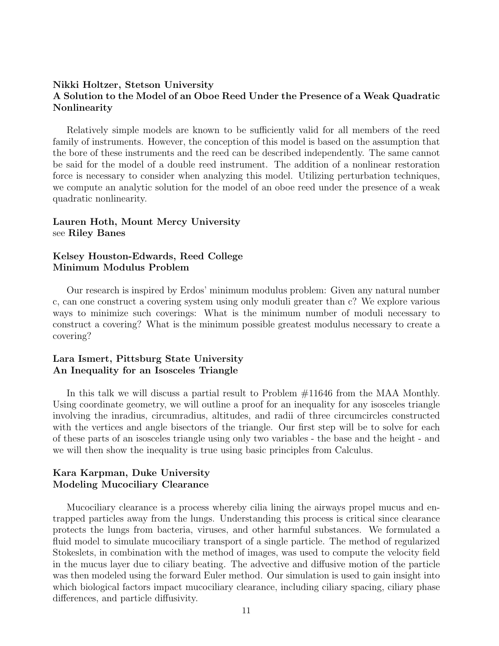#### Nikki Holtzer, Stetson University A Solution to the Model of an Oboe Reed Under the Presence of a Weak Quadratic Nonlinearity

Relatively simple models are known to be sufficiently valid for all members of the reed family of instruments. However, the conception of this model is based on the assumption that the bore of these instruments and the reed can be described independently. The same cannot be said for the model of a double reed instrument. The addition of a nonlinear restoration force is necessary to consider when analyzing this model. Utilizing perturbation techniques, we compute an analytic solution for the model of an oboe reed under the presence of a weak quadratic nonlinearity.

#### Lauren Hoth, Mount Mercy University see Riley Banes

#### Kelsey Houston-Edwards, Reed College Minimum Modulus Problem

Our research is inspired by Erdos' minimum modulus problem: Given any natural number c, can one construct a covering system using only moduli greater than c? We explore various ways to minimize such coverings: What is the minimum number of moduli necessary to construct a covering? What is the minimum possible greatest modulus necessary to create a covering?

# Lara Ismert, Pittsburg State University An Inequality for an Isosceles Triangle

In this talk we will discuss a partial result to Problem #11646 from the MAA Monthly. Using coordinate geometry, we will outline a proof for an inequality for any isosceles triangle involving the inradius, circumradius, altitudes, and radii of three circumcircles constructed with the vertices and angle bisectors of the triangle. Our first step will be to solve for each of these parts of an isosceles triangle using only two variables - the base and the height - and we will then show the inequality is true using basic principles from Calculus.

# Kara Karpman, Duke University Modeling Mucociliary Clearance

Mucociliary clearance is a process whereby cilia lining the airways propel mucus and entrapped particles away from the lungs. Understanding this process is critical since clearance protects the lungs from bacteria, viruses, and other harmful substances. We formulated a fluid model to simulate mucociliary transport of a single particle. The method of regularized Stokeslets, in combination with the method of images, was used to compute the velocity field in the mucus layer due to ciliary beating. The advective and diffusive motion of the particle was then modeled using the forward Euler method. Our simulation is used to gain insight into which biological factors impact mucociliary clearance, including ciliary spacing, ciliary phase differences, and particle diffusivity.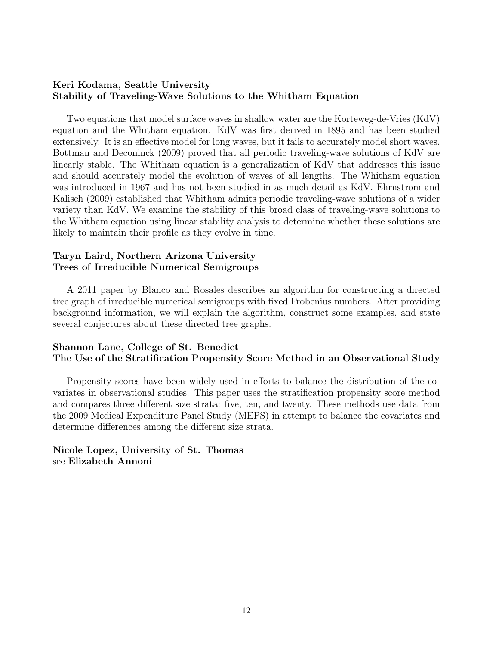#### Keri Kodama, Seattle University Stability of Traveling-Wave Solutions to the Whitham Equation

Two equations that model surface waves in shallow water are the Korteweg-de-Vries (KdV) equation and the Whitham equation. KdV was first derived in 1895 and has been studied extensively. It is an effective model for long waves, but it fails to accurately model short waves. Bottman and Deconinck (2009) proved that all periodic traveling-wave solutions of KdV are linearly stable. The Whitham equation is a generalization of KdV that addresses this issue and should accurately model the evolution of waves of all lengths. The Whitham equation was introduced in 1967 and has not been studied in as much detail as KdV. Ehrnstrom and Kalisch (2009) established that Whitham admits periodic traveling-wave solutions of a wider variety than KdV. We examine the stability of this broad class of traveling-wave solutions to the Whitham equation using linear stability analysis to determine whether these solutions are likely to maintain their profile as they evolve in time.

### Taryn Laird, Northern Arizona University Trees of Irreducible Numerical Semigroups

A 2011 paper by Blanco and Rosales describes an algorithm for constructing a directed tree graph of irreducible numerical semigroups with fixed Frobenius numbers. After providing background information, we will explain the algorithm, construct some examples, and state several conjectures about these directed tree graphs.

#### Shannon Lane, College of St. Benedict The Use of the Stratification Propensity Score Method in an Observational Study

Propensity scores have been widely used in efforts to balance the distribution of the covariates in observational studies. This paper uses the stratification propensity score method and compares three different size strata: five, ten, and twenty. These methods use data from the 2009 Medical Expenditure Panel Study (MEPS) in attempt to balance the covariates and determine differences among the different size strata.

#### Nicole Lopez, University of St. Thomas see Elizabeth Annoni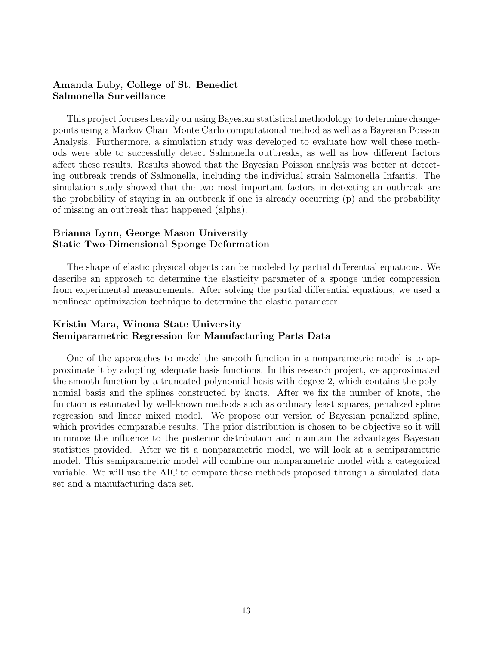#### Amanda Luby, College of St. Benedict Salmonella Surveillance

This project focuses heavily on using Bayesian statistical methodology to determine changepoints using a Markov Chain Monte Carlo computational method as well as a Bayesian Poisson Analysis. Furthermore, a simulation study was developed to evaluate how well these methods were able to successfully detect Salmonella outbreaks, as well as how different factors affect these results. Results showed that the Bayesian Poisson analysis was better at detecting outbreak trends of Salmonella, including the individual strain Salmonella Infantis. The simulation study showed that the two most important factors in detecting an outbreak are the probability of staying in an outbreak if one is already occurring (p) and the probability of missing an outbreak that happened (alpha).

#### Brianna Lynn, George Mason University Static Two-Dimensional Sponge Deformation

The shape of elastic physical objects can be modeled by partial differential equations. We describe an approach to determine the elasticity parameter of a sponge under compression from experimental measurements. After solving the partial differential equations, we used a nonlinear optimization technique to determine the elastic parameter.

#### Kristin Mara, Winona State University Semiparametric Regression for Manufacturing Parts Data

One of the approaches to model the smooth function in a nonparametric model is to approximate it by adopting adequate basis functions. In this research project, we approximated the smooth function by a truncated polynomial basis with degree 2, which contains the polynomial basis and the splines constructed by knots. After we fix the number of knots, the function is estimated by well-known methods such as ordinary least squares, penalized spline regression and linear mixed model. We propose our version of Bayesian penalized spline, which provides comparable results. The prior distribution is chosen to be objective so it will minimize the influence to the posterior distribution and maintain the advantages Bayesian statistics provided. After we fit a nonparametric model, we will look at a semiparametric model. This semiparametric model will combine our nonparametric model with a categorical variable. We will use the AIC to compare those methods proposed through a simulated data set and a manufacturing data set.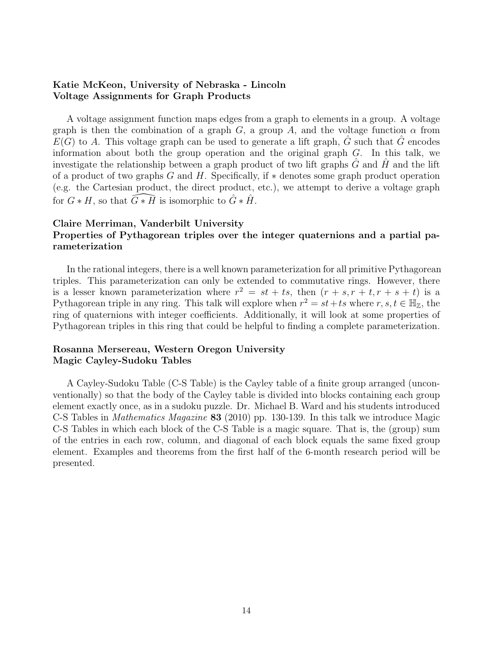#### Katie McKeon, University of Nebraska - Lincoln Voltage Assignments for Graph Products

A voltage assignment function maps edges from a graph to elements in a group. A voltage graph is then the combination of a graph G, a group A, and the voltage function  $\alpha$  from  $E(G)$  to A. This voltage graph can be used to generate a lift graph,  $\hat{G}$  such that  $\hat{G}$  encodes information about both the group operation and the original graph G. In this talk, we investigate the relationship between a graph product of two lift graphs  $G$  and  $H$  and the lift of a product of two graphs G and H. Specifically, if  $*$  denotes some graph product operation (e.g. the Cartesian product, the direct product, etc.), we attempt to derive a voltage graph for  $G * H$ , so that  $\widetilde{G} * \widetilde{H}$  is isomorphic to  $\widehat{G} * \widehat{H}$ .

# Claire Merriman, Vanderbilt University Properties of Pythagorean triples over the integer quaternions and a partial parameterization

In the rational integers, there is a well known parameterization for all primitive Pythagorean triples. This parameterization can only be extended to commutative rings. However, there is a lesser known parameterization where  $r^2 = st + ts$ , then  $(r + s, r + t, r + s + t)$  is a Pythagorean triple in any ring. This talk will explore when  $r^2 = st + ts$  where  $r, s, t \in \mathbb{H}_{\mathbb{Z}}$ , the ring of quaternions with integer coefficients. Additionally, it will look at some properties of Pythagorean triples in this ring that could be helpful to finding a complete parameterization.

# Rosanna Mersereau, Western Oregon University Magic Cayley-Sudoku Tables

A Cayley-Sudoku Table (C-S Table) is the Cayley table of a finite group arranged (unconventionally) so that the body of the Cayley table is divided into blocks containing each group element exactly once, as in a sudoku puzzle. Dr. Michael B. Ward and his students introduced C-S Tables in Mathematics Magazine 83 (2010) pp. 130-139. In this talk we introduce Magic C-S Tables in which each block of the C-S Table is a magic square. That is, the (group) sum of the entries in each row, column, and diagonal of each block equals the same fixed group element. Examples and theorems from the first half of the 6-month research period will be presented.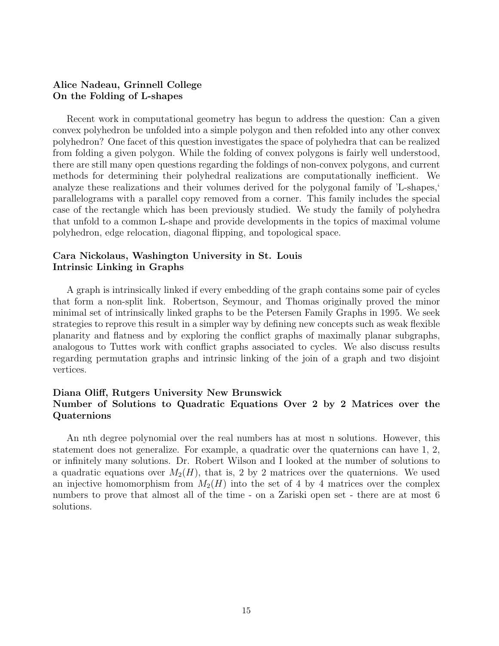#### Alice Nadeau, Grinnell College On the Folding of L-shapes

Recent work in computational geometry has begun to address the question: Can a given convex polyhedron be unfolded into a simple polygon and then refolded into any other convex polyhedron? One facet of this question investigates the space of polyhedra that can be realized from folding a given polygon. While the folding of convex polygons is fairly well understood, there are still many open questions regarding the foldings of non-convex polygons, and current methods for determining their polyhedral realizations are computationally inefficient. We analyze these realizations and their volumes derived for the polygonal family of 'L-shapes,' parallelograms with a parallel copy removed from a corner. This family includes the special case of the rectangle which has been previously studied. We study the family of polyhedra that unfold to a common L-shape and provide developments in the topics of maximal volume polyhedron, edge relocation, diagonal flipping, and topological space.

### Cara Nickolaus, Washington University in St. Louis Intrinsic Linking in Graphs

A graph is intrinsically linked if every embedding of the graph contains some pair of cycles that form a non-split link. Robertson, Seymour, and Thomas originally proved the minor minimal set of intrinsically linked graphs to be the Petersen Family Graphs in 1995. We seek strategies to reprove this result in a simpler way by defining new concepts such as weak flexible planarity and flatness and by exploring the conflict graphs of maximally planar subgraphs, analogous to Tuttes work with conflict graphs associated to cycles. We also discuss results regarding permutation graphs and intrinsic linking of the join of a graph and two disjoint vertices.

# Diana Oliff, Rutgers University New Brunswick Number of Solutions to Quadratic Equations Over 2 by 2 Matrices over the Quaternions

An nth degree polynomial over the real numbers has at most n solutions. However, this statement does not generalize. For example, a quadratic over the quaternions can have 1, 2, or infinitely many solutions. Dr. Robert Wilson and I looked at the number of solutions to a quadratic equations over  $M_2(H)$ , that is, 2 by 2 matrices over the quaternions. We used an injective homomorphism from  $M_2(H)$  into the set of 4 by 4 matrices over the complex numbers to prove that almost all of the time - on a Zariski open set - there are at most 6 solutions.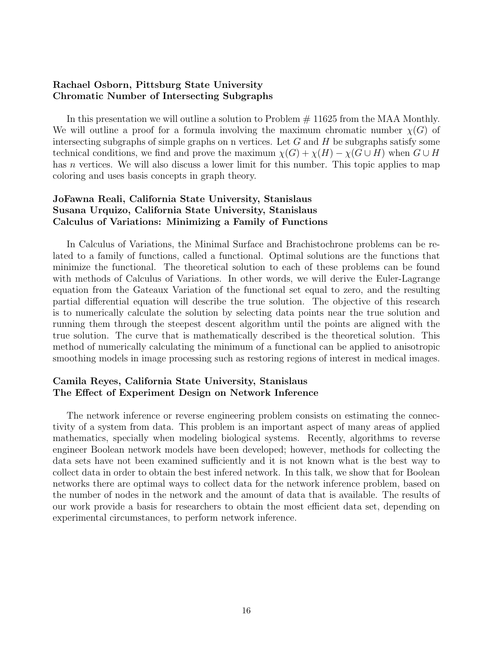#### Rachael Osborn, Pittsburg State University Chromatic Number of Intersecting Subgraphs

In this presentation we will outline a solution to Problem  $# 11625$  from the MAA Monthly. We will outline a proof for a formula involving the maximum chromatic number  $\chi(G)$  of intersecting subgraphs of simple graphs on n vertices. Let  $G$  and  $H$  be subgraphs satisfy some technical conditions, we find and prove the maximum  $\chi(G) + \chi(H) - \chi(G \cup H)$  when  $G \cup H$ has n vertices. We will also discuss a lower limit for this number. This topic applies to map coloring and uses basis concepts in graph theory.

# JoFawna Reali, California State University, Stanislaus Susana Urquizo, California State University, Stanislaus Calculus of Variations: Minimizing a Family of Functions

In Calculus of Variations, the Minimal Surface and Brachistochrone problems can be related to a family of functions, called a functional. Optimal solutions are the functions that minimize the functional. The theoretical solution to each of these problems can be found with methods of Calculus of Variations. In other words, we will derive the Euler-Lagrange equation from the Gateaux Variation of the functional set equal to zero, and the resulting partial differential equation will describe the true solution. The objective of this research is to numerically calculate the solution by selecting data points near the true solution and running them through the steepest descent algorithm until the points are aligned with the true solution. The curve that is mathematically described is the theoretical solution. This method of numerically calculating the minimum of a functional can be applied to anisotropic smoothing models in image processing such as restoring regions of interest in medical images.

# Camila Reyes, California State University, Stanislaus The Effect of Experiment Design on Network Inference

The network inference or reverse engineering problem consists on estimating the connectivity of a system from data. This problem is an important aspect of many areas of applied mathematics, specially when modeling biological systems. Recently, algorithms to reverse engineer Boolean network models have been developed; however, methods for collecting the data sets have not been examined sufficiently and it is not known what is the best way to collect data in order to obtain the best infered network. In this talk, we show that for Boolean networks there are optimal ways to collect data for the network inference problem, based on the number of nodes in the network and the amount of data that is available. The results of our work provide a basis for researchers to obtain the most efficient data set, depending on experimental circumstances, to perform network inference.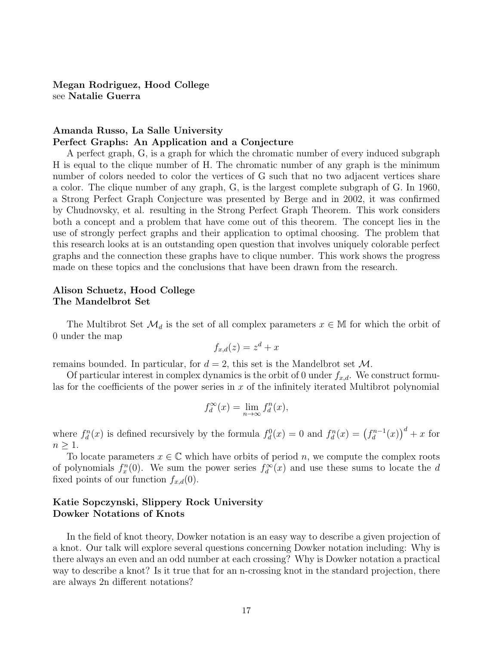Megan Rodriguez, Hood College see Natalie Guerra

#### Amanda Russo, La Salle University Perfect Graphs: An Application and a Conjecture

A perfect graph, G, is a graph for which the chromatic number of every induced subgraph H is equal to the clique number of H. The chromatic number of any graph is the minimum number of colors needed to color the vertices of G such that no two adjacent vertices share a color. The clique number of any graph, G, is the largest complete subgraph of G. In 1960, a Strong Perfect Graph Conjecture was presented by Berge and in 2002, it was confirmed by Chudnovsky, et al. resulting in the Strong Perfect Graph Theorem. This work considers both a concept and a problem that have come out of this theorem. The concept lies in the use of strongly perfect graphs and their application to optimal choosing. The problem that this research looks at is an outstanding open question that involves uniquely colorable perfect graphs and the connection these graphs have to clique number. This work shows the progress made on these topics and the conclusions that have been drawn from the research.

#### Alison Schuetz, Hood College The Mandelbrot Set

The Multibrot Set  $\mathcal{M}_d$  is the set of all complex parameters  $x \in \mathbb{M}$  for which the orbit of 0 under the map

$$
f_{x,d}(z) = z^d + x
$$

remains bounded. In particular, for  $d = 2$ , this set is the Mandelbrot set M.

Of particular interest in complex dynamics is the orbit of 0 under  $f_{x,d}$ . We construct formulas for the coefficients of the power series in  $x$  of the infinitely iterated Multibrot polynomial

$$
f_d^{\infty}(x) = \lim_{n \to \infty} f_d^n(x),
$$

where  $f_d^n(x)$  is defined recursively by the formula  $f_d^0(x) = 0$  and  $f_d^n(x) = (f_d^{n-1})$  $\binom{m-1}{d}(x)$ <sup>d</sup> + x for  $n \geq 1$ .

To locate parameters  $x \in \mathbb{C}$  which have orbits of period n, we compute the complex roots of polynomials  $f_x^n(0)$ . We sum the power series  $f_d^{\infty}(x)$  and use these sums to locate the d fixed points of our function  $f_{x,d}(0)$ .

#### Katie Sopczynski, Slippery Rock University Dowker Notations of Knots

In the field of knot theory, Dowker notation is an easy way to describe a given projection of a knot. Our talk will explore several questions concerning Dowker notation including: Why is there always an even and an odd number at each crossing? Why is Dowker notation a practical way to describe a knot? Is it true that for an n-crossing knot in the standard projection, there are always 2n different notations?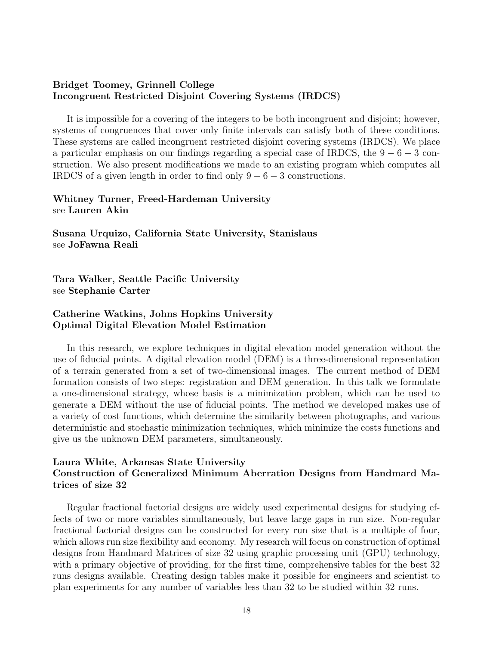#### Bridget Toomey, Grinnell College Incongruent Restricted Disjoint Covering Systems (IRDCS)

It is impossible for a covering of the integers to be both incongruent and disjoint; however, systems of congruences that cover only finite intervals can satisfy both of these conditions. These systems are called incongruent restricted disjoint covering systems (IRDCS). We place a particular emphasis on our findings regarding a special case of IRDCS, the  $9 - 6 - 3$  construction. We also present modifications we made to an existing program which computes all IRDCS of a given length in order to find only  $9 - 6 - 3$  constructions.

#### Whitney Turner, Freed-Hardeman University see Lauren Akin

Susana Urquizo, California State University, Stanislaus see JoFawna Reali

Tara Walker, Seattle Pacific University see Stephanie Carter

#### Catherine Watkins, Johns Hopkins University Optimal Digital Elevation Model Estimation

In this research, we explore techniques in digital elevation model generation without the use of fiducial points. A digital elevation model (DEM) is a three-dimensional representation of a terrain generated from a set of two-dimensional images. The current method of DEM formation consists of two steps: registration and DEM generation. In this talk we formulate a one-dimensional strategy, whose basis is a minimization problem, which can be used to generate a DEM without the use of fiducial points. The method we developed makes use of a variety of cost functions, which determine the similarity between photographs, and various deterministic and stochastic minimization techniques, which minimize the costs functions and give us the unknown DEM parameters, simultaneously.

#### Laura White, Arkansas State University Construction of Generalized Minimum Aberration Designs from Handmard Matrices of size 32

Regular fractional factorial designs are widely used experimental designs for studying effects of two or more variables simultaneously, but leave large gaps in run size. Non-regular fractional factorial designs can be constructed for every run size that is a multiple of four, which allows run size flexibility and economy. My research will focus on construction of optimal designs from Handmard Matrices of size 32 using graphic processing unit (GPU) technology, with a primary objective of providing, for the first time, comprehensive tables for the best 32 runs designs available. Creating design tables make it possible for engineers and scientist to plan experiments for any number of variables less than 32 to be studied within 32 runs.